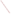